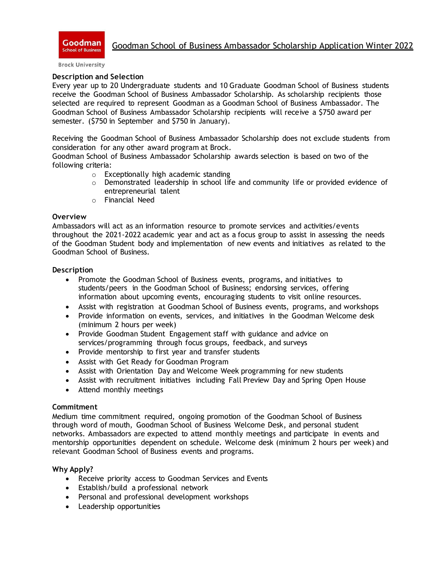

**Brock University** 

#### **Description and Selection**

Every year up to 20 Undergraduate students and 10 Graduate Goodman School of Business students receive the Goodman School of Business Ambassador Scholarship. As scholarship recipients those selected are required to represent Goodman as a Goodman School of Business Ambassador. The Goodman School of Business Ambassador Scholarship recipients will receive a \$750 award per semester. (\$750 in September and \$750 in January).

Receiving the Goodman School of Business Ambassador Scholarship does not exclude students from consideration for any other award program at Brock.

Goodman School of Business Ambassador Scholarship awards selection is based on two of the following criteria:

- o Exceptionally high academic standing
- $\circ$  Demonstrated leadership in school life and community life or provided evidence of entrepreneurial talent
- o Financial Need

#### **Overview**

Ambassadors will act as an information resource to promote services and activities/events throughout the 2021-2022 academic year and act as a focus group to assist in assessing the needs of the Goodman Student body and implementation of new events and initiatives as related to the Goodman School of Business.

#### **Description**

- Promote the Goodman School of Business events, programs, and initiatives to students/peers in the Goodman School of Business; endorsing services, offering information about upcoming events, encouraging students to visit online resources.
- Assist with registration at Goodman School of Business events, programs, and workshops
- Provide information on events, services, and initiatives in the Goodman Welcome desk (minimum 2 hours per week)
- Provide Goodman Student Engagement staff with guidance and advice on services/programming through focus groups, feedback, and surveys
- Provide mentorship to first year and transfer students
- Assist with Get Ready for Goodman Program
- Assist with Orientation Day and Welcome Week programming for new students
- Assist with recruitment initiatives including Fall Preview Day and Spring Open House
- Attend monthly meetings

#### **Commitment**

Medium time commitment required, ongoing promotion of the Goodman School of Business through word of mouth, Goodman School of Business Welcome Desk, and personal student networks. Ambassadors are expected to attend monthly meetings and participate in events and mentorship opportunities dependent on schedule. Welcome desk (minimum 2 hours per week) and relevant Goodman School of Business events and programs.

#### **Why Apply?**

- Receive priority access to Goodman Services and Events
- Establish/build a professional network
- Personal and professional development workshops
- Leadership opportunities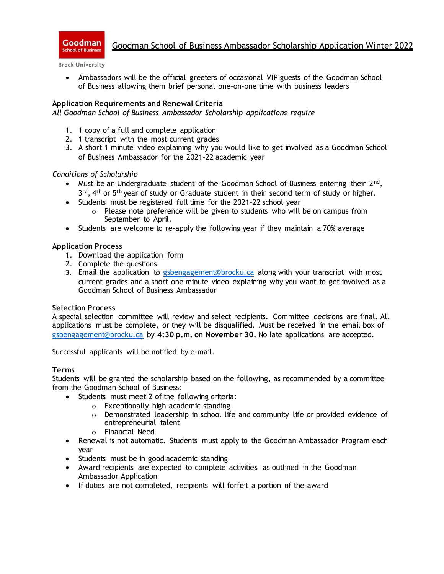

## Goodman School of Business Ambassador Scholarship Application Winter 2022

**Brock University** 

• Ambassadors will be the official greeters of occasional VIP guests of the Goodman School of Business allowing them brief personal one-on-one time with business leaders

### **Application Requirements and Renewal Criteria**

*All Goodman School of Business Ambassador Scholarship applications require*

- 1. 1 copy of a full and complete application
- 2. 1 transcript with the most current grades
- 3. A short 1 minute video explaining why you would like to get involved as a Goodman School of Business Ambassador for the 2021-22 academic year

#### *Conditions of Scholarship*

- Must be an Undergraduate student of the Goodman School of Business entering their  $2^{nd}$ , 3<sup>rd</sup>, 4<sup>th</sup> or 5<sup>th</sup> year of study or Graduate student in their second term of study or higher.
- Students must be registered full time for the 2021-22 school year
	- $\circ$  Please note preference will be given to students who will be on campus from September to April.
- Students are welcome to re-apply the following year if they maintain a 70% average

#### **Application Process**

- 1. Download the application form
- 2. Complete the questions
- 3. Email the application to [gsbengagement@brocku.ca](mailto:gsbengagement@brocku.ca) along with your transcript with most current grades and a short one minute video explaining why you want to get involved as a Goodman School of Business Ambassador

#### **Selection Process**

A special selection committee will review and select recipients. Committee decisions are final. All applications must be complete, or they will be disqualified. Must be received in the email box of [gsbengagement@brocku.ca](mailto:gsbengagement@brocku.ca) by **4:30 p.m. on November 30.** No late applications are accepted.

Successful applicants will be notified by e-mail.

#### **Terms**

Students will be granted the scholarship based on the following, as recommended by a committee from the Goodman School of Business:

- Students must meet 2 of the following criteria:
	- o Exceptionally high academic standing
	- $\circ$  Demonstrated leadership in school life and community life or provided evidence of entrepreneurial talent
	- o Financial Need
- Renewal is not automatic. Students must apply to the Goodman Ambassador Program each year
- Students must be in good academic standing
- Award recipients are expected to complete activities as outlined in the Goodman Ambassador Application
- If duties are not completed, recipients will forfeit a portion of the award